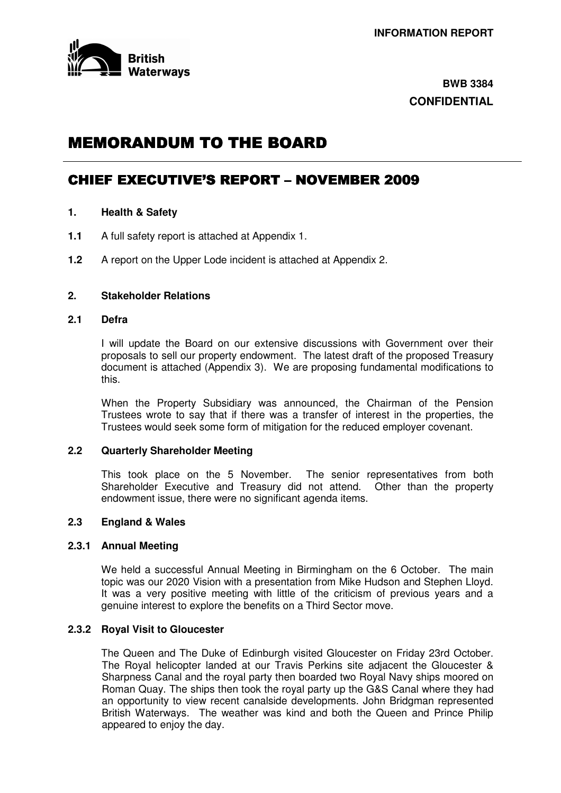

## **BWB 3384 CONFIDENTIAL**

# **MEMORANDUM TO THE BOARD**

## CHIEF EXECUTIVE'S REPORT - NOVEMBER 2009

- **1. Health & Safety**
- **1.1** A full safety report is attached at Appendix 1.
- **1.2** A report on the Upper Lode incident is attached at Appendix 2.

## **2. Stakeholder Relations**

#### **2.1 Defra**

I will update the Board on our extensive discussions with Government over their proposals to sell our property endowment. The latest draft of the proposed Treasury document is attached (Appendix 3). We are proposing fundamental modifications to this.

When the Property Subsidiary was announced, the Chairman of the Pension Trustees wrote to say that if there was a transfer of interest in the properties, the Trustees would seek some form of mitigation for the reduced employer covenant.

#### **2.2 Quarterly Shareholder Meeting**

This took place on the 5 November. The senior representatives from both Shareholder Executive and Treasury did not attend. Other than the property endowment issue, there were no significant agenda items.

#### **2.3 England & Wales**

#### **2.3.1 Annual Meeting**

We held a successful Annual Meeting in Birmingham on the 6 October. The main topic was our 2020 Vision with a presentation from Mike Hudson and Stephen Lloyd. It was a very positive meeting with little of the criticism of previous years and a genuine interest to explore the benefits on a Third Sector move.

#### **2.3.2 Royal Visit to Gloucester**

The Queen and The Duke of Edinburgh visited Gloucester on Friday 23rd October. The Royal helicopter landed at our Travis Perkins site adjacent the Gloucester & Sharpness Canal and the royal party then boarded two Royal Navy ships moored on Roman Quay. The ships then took the royal party up the G&S Canal where they had an opportunity to view recent canalside developments. John Bridgman represented British Waterways. The weather was kind and both the Queen and Prince Philip appeared to enjoy the day.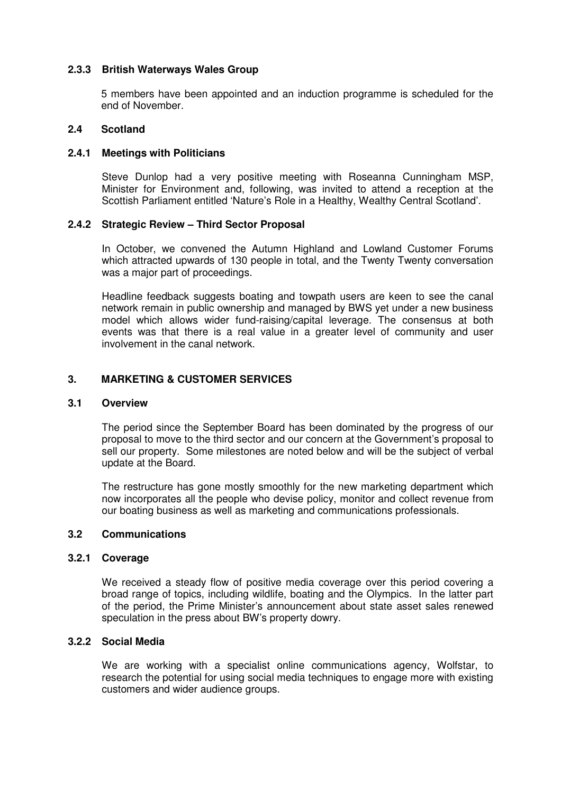## **2.3.3 British Waterways Wales Group**

5 members have been appointed and an induction programme is scheduled for the end of November.

#### **2.4 Scotland**

### **2.4.1 Meetings with Politicians**

Steve Dunlop had a very positive meeting with Roseanna Cunningham MSP, Minister for Environment and, following, was invited to attend a reception at the Scottish Parliament entitled 'Nature's Role in a Healthy, Wealthy Central Scotland'.

#### **2.4.2 Strategic Review – Third Sector Proposal**

In October, we convened the Autumn Highland and Lowland Customer Forums which attracted upwards of 130 people in total, and the Twenty Twenty conversation was a major part of proceedings.

Headline feedback suggests boating and towpath users are keen to see the canal network remain in public ownership and managed by BWS yet under a new business model which allows wider fund-raising/capital leverage. The consensus at both events was that there is a real value in a greater level of community and user involvement in the canal network.

#### **3. MARKETING & CUSTOMER SERVICES**

#### **3.1 Overview**

The period since the September Board has been dominated by the progress of our proposal to move to the third sector and our concern at the Government's proposal to sell our property. Some milestones are noted below and will be the subject of verbal update at the Board.

The restructure has gone mostly smoothly for the new marketing department which now incorporates all the people who devise policy, monitor and collect revenue from our boating business as well as marketing and communications professionals.

## **3.2 Communications**

## **3.2.1 Coverage**

We received a steady flow of positive media coverage over this period covering a broad range of topics, including wildlife, boating and the Olympics. In the latter part of the period, the Prime Minister's announcement about state asset sales renewed speculation in the press about BW's property dowry.

## **3.2.2 Social Media**

We are working with a specialist online communications agency, Wolfstar, to research the potential for using social media techniques to engage more with existing customers and wider audience groups.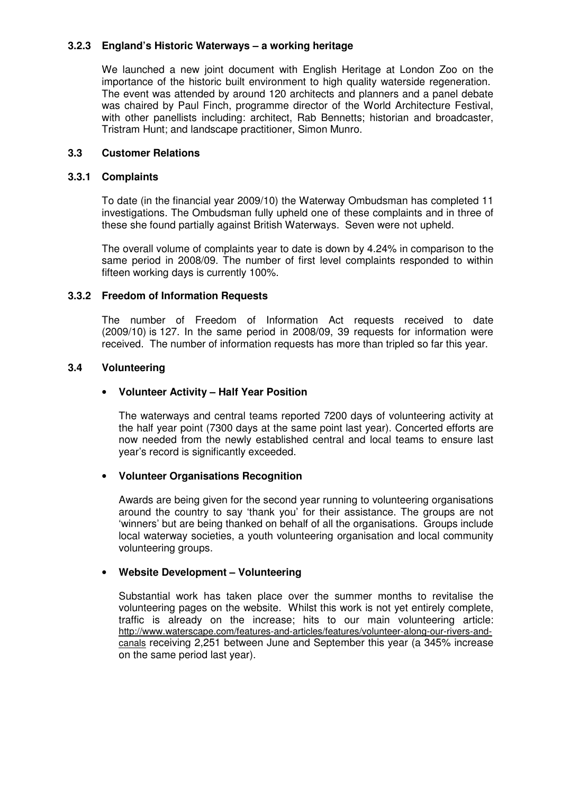## **3.2.3 England's Historic Waterways – a working heritage**

We launched a new joint document with English Heritage at London Zoo on the importance of the historic built environment to high quality waterside regeneration. The event was attended by around 120 architects and planners and a panel debate was chaired by Paul Finch, programme director of the World Architecture Festival, with other panellists including: architect, Rab Bennetts; historian and broadcaster, Tristram Hunt; and landscape practitioner, Simon Munro.

## **3.3 Customer Relations**

#### **3.3.1 Complaints**

To date (in the financial year 2009/10) the Waterway Ombudsman has completed 11 investigations. The Ombudsman fully upheld one of these complaints and in three of these she found partially against British Waterways. Seven were not upheld.

The overall volume of complaints year to date is down by 4.24% in comparison to the same period in 2008/09. The number of first level complaints responded to within fifteen working days is currently 100%.

#### **3.3.2 Freedom of Information Requests**

The number of Freedom of Information Act requests received to date (2009/10) is 127. In the same period in 2008/09, 39 requests for information were received. The number of information requests has more than tripled so far this year.

#### **3.4 Volunteering**

## • **Volunteer Activity – Half Year Position**

The waterways and central teams reported 7200 days of volunteering activity at the half year point (7300 days at the same point last year). Concerted efforts are now needed from the newly established central and local teams to ensure last year's record is significantly exceeded.

## • **Volunteer Organisations Recognition**

Awards are being given for the second year running to volunteering organisations around the country to say 'thank you' for their assistance. The groups are not 'winners' but are being thanked on behalf of all the organisations. Groups include local waterway societies, a youth volunteering organisation and local community volunteering groups.

## • **Website Development – Volunteering**

Substantial work has taken place over the summer months to revitalise the volunteering pages on the website. Whilst this work is not yet entirely complete, traffic is already on the increase; hits to our main volunteering article: http://www.waterscape.com/features-and-articles/features/volunteer-along-our-rivers-andcanals receiving 2,251 between June and September this year (a 345% increase on the same period last year).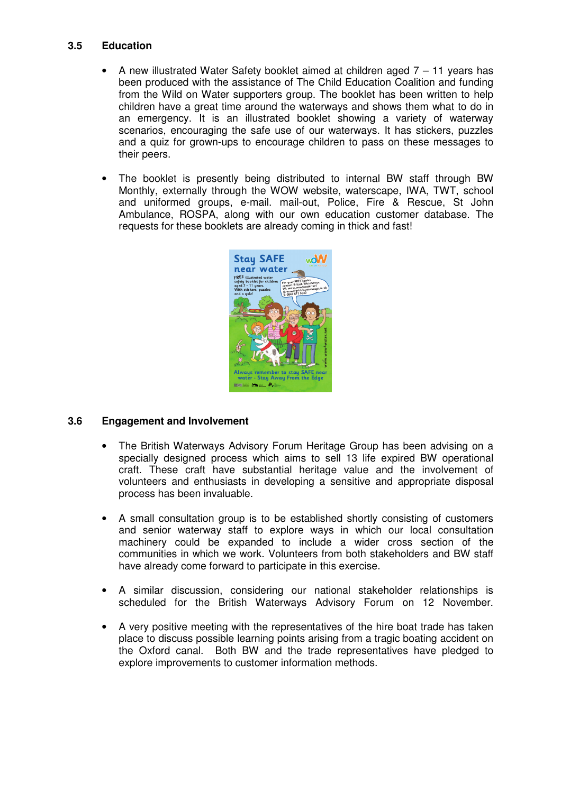## **3.5 Education**

- A new illustrated Water Safety booklet aimed at children aged 7 11 years has been produced with the assistance of The Child Education Coalition and funding from the Wild on Water supporters group. The booklet has been written to help children have a great time around the waterways and shows them what to do in an emergency. It is an illustrated booklet showing a variety of waterway scenarios, encouraging the safe use of our waterways. It has stickers, puzzles and a quiz for grown-ups to encourage children to pass on these messages to their peers.
- The booklet is presently being distributed to internal BW staff through BW Monthly, externally through the WOW website, waterscape, IWA, TWT, school and uniformed groups, e-mail. mail-out, Police, Fire & Rescue, St John Ambulance, ROSPA, along with our own education customer database. The requests for these booklets are already coming in thick and fast!



## **3.6 Engagement and Involvement**

- The British Waterways Advisory Forum Heritage Group has been advising on a specially designed process which aims to sell 13 life expired BW operational craft. These craft have substantial heritage value and the involvement of volunteers and enthusiasts in developing a sensitive and appropriate disposal process has been invaluable.
- A small consultation group is to be established shortly consisting of customers and senior waterway staff to explore ways in which our local consultation machinery could be expanded to include a wider cross section of the communities in which we work. Volunteers from both stakeholders and BW staff have already come forward to participate in this exercise.
- A similar discussion, considering our national stakeholder relationships is scheduled for the British Waterways Advisory Forum on 12 November.
- A very positive meeting with the representatives of the hire boat trade has taken place to discuss possible learning points arising from a tragic boating accident on the Oxford canal. Both BW and the trade representatives have pledged to explore improvements to customer information methods.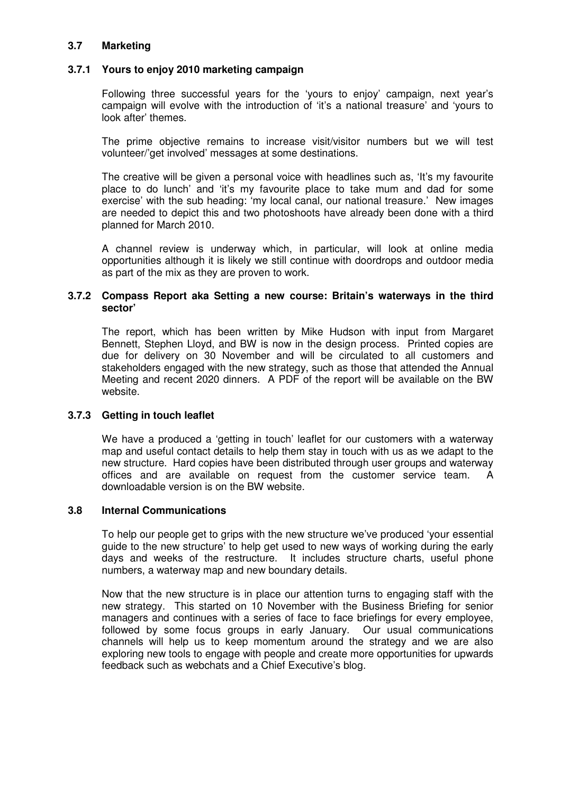## **3.7 Marketing**

## **3.7.1 Yours to enjoy 2010 marketing campaign**

Following three successful years for the 'yours to enjoy' campaign, next year's campaign will evolve with the introduction of 'it's a national treasure' and 'yours to look after' themes.

The prime objective remains to increase visit/visitor numbers but we will test volunteer/'get involved' messages at some destinations.

The creative will be given a personal voice with headlines such as, 'It's my favourite place to do lunch' and 'it's my favourite place to take mum and dad for some exercise' with the sub heading: 'my local canal, our national treasure.' New images are needed to depict this and two photoshoots have already been done with a third planned for March 2010.

A channel review is underway which, in particular, will look at online media opportunities although it is likely we still continue with doordrops and outdoor media as part of the mix as they are proven to work.

#### **3.7.2 Compass Report aka Setting a new course: Britain's waterways in the third sector'**

The report, which has been written by Mike Hudson with input from Margaret Bennett, Stephen Lloyd, and BW is now in the design process. Printed copies are due for delivery on 30 November and will be circulated to all customers and stakeholders engaged with the new strategy, such as those that attended the Annual Meeting and recent 2020 dinners. A PDF of the report will be available on the BW website.

## **3.7.3 Getting in touch leaflet**

We have a produced a 'getting in touch' leaflet for our customers with a waterway map and useful contact details to help them stay in touch with us as we adapt to the new structure. Hard copies have been distributed through user groups and waterway offices and are available on request from the customer service team. A downloadable version is on the BW website.

#### **3.8 Internal Communications**

To help our people get to grips with the new structure we've produced 'your essential guide to the new structure' to help get used to new ways of working during the early days and weeks of the restructure. It includes structure charts, useful phone numbers, a waterway map and new boundary details.

Now that the new structure is in place our attention turns to engaging staff with the new strategy. This started on 10 November with the Business Briefing for senior managers and continues with a series of face to face briefings for every employee, followed by some focus groups in early January. Our usual communications channels will help us to keep momentum around the strategy and we are also exploring new tools to engage with people and create more opportunities for upwards feedback such as webchats and a Chief Executive's blog.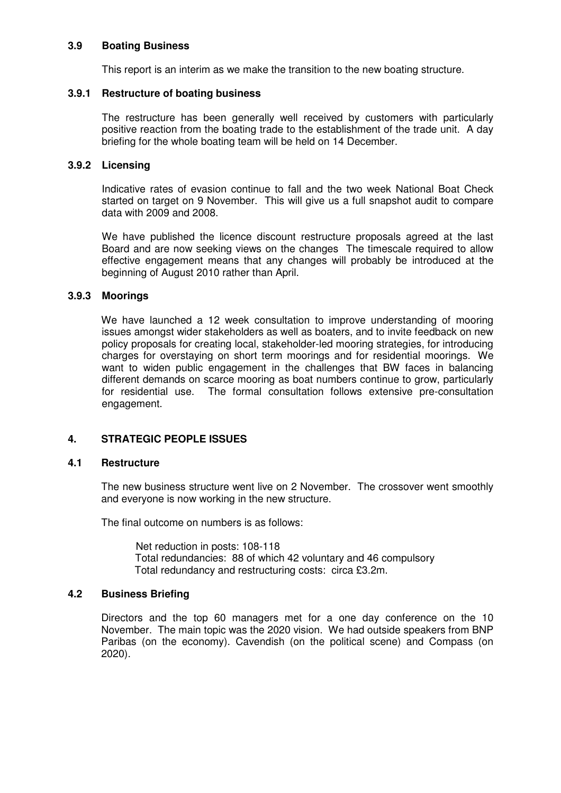#### **3.9 Boating Business**

This report is an interim as we make the transition to the new boating structure.

#### **3.9.1 Restructure of boating business**

The restructure has been generally well received by customers with particularly positive reaction from the boating trade to the establishment of the trade unit. A day briefing for the whole boating team will be held on 14 December.

#### **3.9.2 Licensing**

Indicative rates of evasion continue to fall and the two week National Boat Check started on target on 9 November. This will give us a full snapshot audit to compare data with 2009 and 2008.

We have published the licence discount restructure proposals agreed at the last Board and are now seeking views on the changes The timescale required to allow effective engagement means that any changes will probably be introduced at the beginning of August 2010 rather than April.

#### **3.9.3 Moorings**

We have launched a 12 week consultation to improve understanding of mooring issues amongst wider stakeholders as well as boaters, and to invite feedback on new policy proposals for creating local, stakeholder-led mooring strategies, for introducing charges for overstaying on short term moorings and for residential moorings. We want to widen public engagement in the challenges that BW faces in balancing different demands on scarce mooring as boat numbers continue to grow, particularly for residential use. The formal consultation follows extensive pre-consultation engagement.

## **4. STRATEGIC PEOPLE ISSUES**

#### **4.1 Restructure**

The new business structure went live on 2 November. The crossover went smoothly and everyone is now working in the new structure.

The final outcome on numbers is as follows:

Net reduction in posts: 108-118 Total redundancies: 88 of which 42 voluntary and 46 compulsory Total redundancy and restructuring costs: circa £3.2m.

## **4.2 Business Briefing**

Directors and the top 60 managers met for a one day conference on the 10 November. The main topic was the 2020 vision. We had outside speakers from BNP Paribas (on the economy). Cavendish (on the political scene) and Compass (on 2020).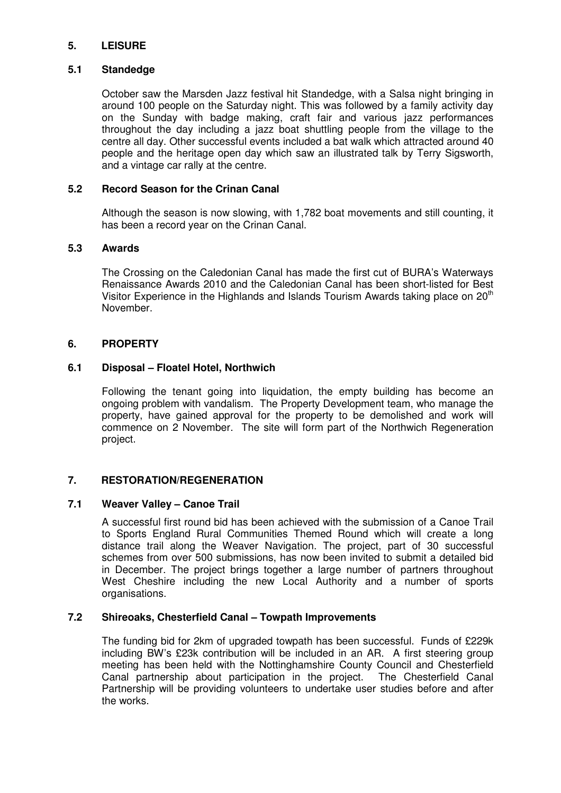## **5. LEISURE**

## **5.1 Standedge**

October saw the Marsden Jazz festival hit Standedge, with a Salsa night bringing in around 100 people on the Saturday night. This was followed by a family activity day on the Sunday with badge making, craft fair and various jazz performances throughout the day including a jazz boat shuttling people from the village to the centre all day. Other successful events included a bat walk which attracted around 40 people and the heritage open day which saw an illustrated talk by Terry Sigsworth, and a vintage car rally at the centre.

## **5.2 Record Season for the Crinan Canal**

Although the season is now slowing, with 1,782 boat movements and still counting, it has been a record year on the Crinan Canal.

## **5.3 Awards**

The Crossing on the Caledonian Canal has made the first cut of BURA's Waterways Renaissance Awards 2010 and the Caledonian Canal has been short-listed for Best Visitor Experience in the Highlands and Islands Tourism Awards taking place on 20<sup>th</sup> November.

## **6. PROPERTY**

## **6.1 Disposal – Floatel Hotel, Northwich**

Following the tenant going into liquidation, the empty building has become an ongoing problem with vandalism. The Property Development team, who manage the property, have gained approval for the property to be demolished and work will commence on 2 November. The site will form part of the Northwich Regeneration project.

## **7. RESTORATION/REGENERATION**

## **7.1 Weaver Valley – Canoe Trail**

A successful first round bid has been achieved with the submission of a Canoe Trail to Sports England Rural Communities Themed Round which will create a long distance trail along the Weaver Navigation. The project, part of 30 successful schemes from over 500 submissions, has now been invited to submit a detailed bid in December. The project brings together a large number of partners throughout West Cheshire including the new Local Authority and a number of sports organisations.

## **7.2 Shireoaks, Chesterfield Canal – Towpath Improvements**

The funding bid for 2km of upgraded towpath has been successful. Funds of £229k including BW's £23k contribution will be included in an AR. A first steering group meeting has been held with the Nottinghamshire County Council and Chesterfield Canal partnership about participation in the project. The Chesterfield Canal Partnership will be providing volunteers to undertake user studies before and after the works.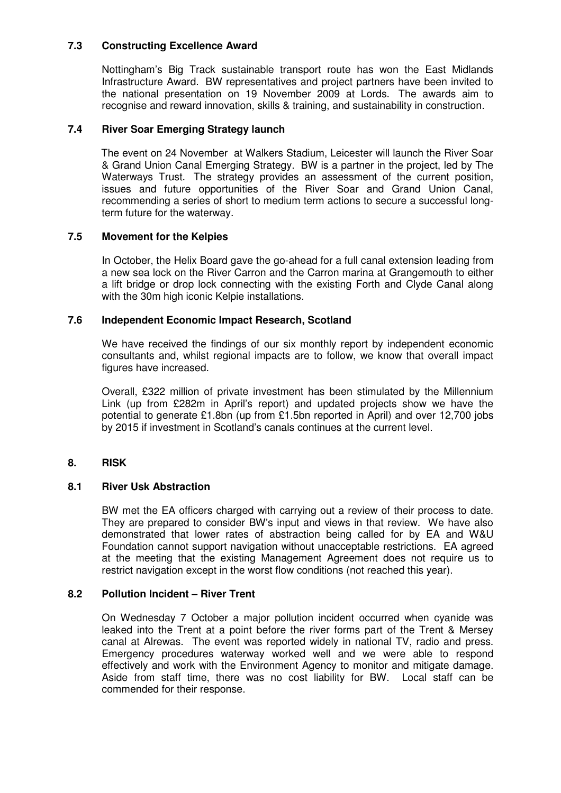## **7.3 Constructing Excellence Award**

Nottingham's Big Track sustainable transport route has won the East Midlands Infrastructure Award. BW representatives and project partners have been invited to the national presentation on 19 November 2009 at Lords. The awards aim to recognise and reward innovation, skills & training, and sustainability in construction.

## **7.4 River Soar Emerging Strategy launch**

The event on 24 November at Walkers Stadium, Leicester will launch the River Soar & Grand Union Canal Emerging Strategy. BW is a partner in the project, led by The Waterways Trust. The strategy provides an assessment of the current position, issues and future opportunities of the River Soar and Grand Union Canal, recommending a series of short to medium term actions to secure a successful longterm future for the waterway.

## **7.5 Movement for the Kelpies**

In October, the Helix Board gave the go-ahead for a full canal extension leading from a new sea lock on the River Carron and the Carron marina at Grangemouth to either a lift bridge or drop lock connecting with the existing Forth and Clyde Canal along with the 30m high iconic Kelpie installations.

## **7.6 Independent Economic Impact Research, Scotland**

We have received the findings of our six monthly report by independent economic consultants and, whilst regional impacts are to follow, we know that overall impact figures have increased.

Overall, £322 million of private investment has been stimulated by the Millennium Link (up from £282m in April's report) and updated projects show we have the potential to generate £1.8bn (up from £1.5bn reported in April) and over 12,700 jobs by 2015 if investment in Scotland's canals continues at the current level.

## **8. RISK**

## **8.1 River Usk Abstraction**

BW met the EA officers charged with carrying out a review of their process to date. They are prepared to consider BW's input and views in that review. We have also demonstrated that lower rates of abstraction being called for by EA and W&U Foundation cannot support navigation without unacceptable restrictions. EA agreed at the meeting that the existing Management Agreement does not require us to restrict navigation except in the worst flow conditions (not reached this year).

## **8.2 Pollution Incident – River Trent**

On Wednesday 7 October a major pollution incident occurred when cyanide was leaked into the Trent at a point before the river forms part of the Trent & Mersey canal at Alrewas. The event was reported widely in national TV, radio and press. Emergency procedures waterway worked well and we were able to respond effectively and work with the Environment Agency to monitor and mitigate damage. Aside from staff time, there was no cost liability for BW. Local staff can be commended for their response.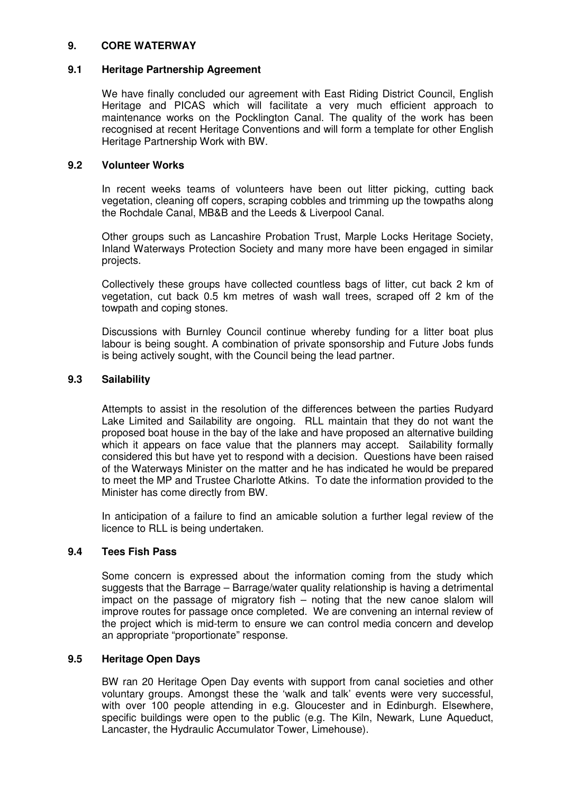## **9. CORE WATERWAY**

#### **9.1 Heritage Partnership Agreement**

We have finally concluded our agreement with East Riding District Council, English Heritage and PICAS which will facilitate a very much efficient approach to maintenance works on the Pocklington Canal. The quality of the work has been recognised at recent Heritage Conventions and will form a template for other English Heritage Partnership Work with BW.

## **9.2 Volunteer Works**

In recent weeks teams of volunteers have been out litter picking, cutting back vegetation, cleaning off copers, scraping cobbles and trimming up the towpaths along the Rochdale Canal, MB&B and the Leeds & Liverpool Canal.

Other groups such as Lancashire Probation Trust, Marple Locks Heritage Society, Inland Waterways Protection Society and many more have been engaged in similar projects.

Collectively these groups have collected countless bags of litter, cut back 2 km of vegetation, cut back 0.5 km metres of wash wall trees, scraped off 2 km of the towpath and coping stones.

Discussions with Burnley Council continue whereby funding for a litter boat plus labour is being sought. A combination of private sponsorship and Future Jobs funds is being actively sought, with the Council being the lead partner.

#### **9.3 Sailability**

Attempts to assist in the resolution of the differences between the parties Rudyard Lake Limited and Sailability are ongoing. RLL maintain that they do not want the proposed boat house in the bay of the lake and have proposed an alternative building which it appears on face value that the planners may accept. Sailability formally considered this but have yet to respond with a decision. Questions have been raised of the Waterways Minister on the matter and he has indicated he would be prepared to meet the MP and Trustee Charlotte Atkins. To date the information provided to the Minister has come directly from BW.

In anticipation of a failure to find an amicable solution a further legal review of the licence to RLL is being undertaken.

## **9.4 Tees Fish Pass**

Some concern is expressed about the information coming from the study which suggests that the Barrage – Barrage/water quality relationship is having a detrimental impact on the passage of migratory fish – noting that the new canoe slalom will improve routes for passage once completed. We are convening an internal review of the project which is mid-term to ensure we can control media concern and develop an appropriate "proportionate" response.

## **9.5 Heritage Open Days**

BW ran 20 Heritage Open Day events with support from canal societies and other voluntary groups. Amongst these the 'walk and talk' events were very successful, with over 100 people attending in e.g. Gloucester and in Edinburgh. Elsewhere, specific buildings were open to the public (e.g. The Kiln, Newark, Lune Aqueduct, Lancaster, the Hydraulic Accumulator Tower, Limehouse).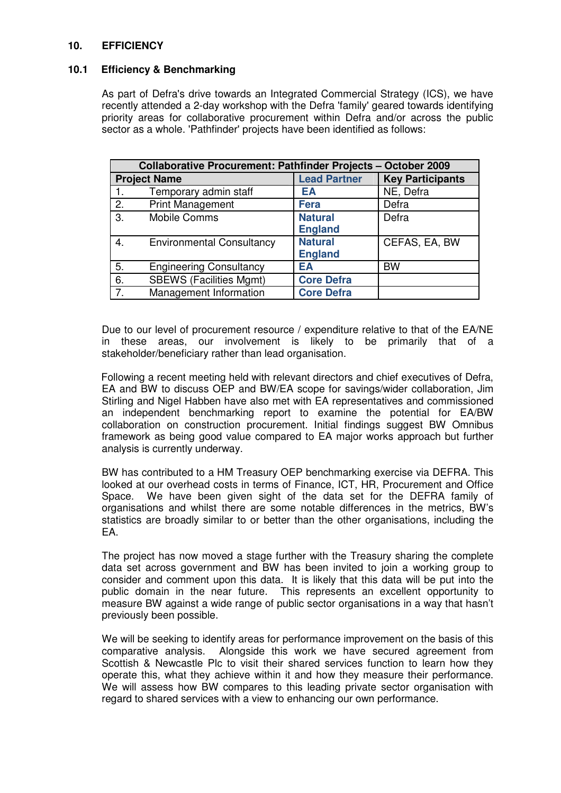## **10. EFFICIENCY**

## **10.1 Efficiency & Benchmarking**

As part of Defra's drive towards an Integrated Commercial Strategy (ICS), we have recently attended a 2-day workshop with the Defra 'family'geared towards identifying priority areas for collaborative procurement within Defra and/or across the public sector as a whole. 'Pathfinder' projects have been identified as follows:

| <b>Collaborative Procurement: Pathfinder Projects - October 2009</b> |                                  |                     |                         |
|----------------------------------------------------------------------|----------------------------------|---------------------|-------------------------|
| <b>Project Name</b>                                                  |                                  | <b>Lead Partner</b> | <b>Key Participants</b> |
| 1.                                                                   | Temporary admin staff            | EA                  | NE, Defra               |
| 2.                                                                   | <b>Print Management</b>          | <b>Fera</b>         | Defra                   |
| 3.                                                                   | Mobile Comms                     | <b>Natural</b>      | Defra                   |
|                                                                      |                                  | <b>England</b>      |                         |
| 4.                                                                   | <b>Environmental Consultancy</b> | <b>Natural</b>      | CEFAS, EA, BW           |
|                                                                      |                                  | <b>England</b>      |                         |
| 5.                                                                   | <b>Engineering Consultancy</b>   | EA                  | <b>BW</b>               |
| 6.                                                                   | <b>SBEWS (Facilities Mgmt)</b>   | <b>Core Defra</b>   |                         |
| 7.                                                                   | Management Information           | <b>Core Defra</b>   |                         |

Due to our level of procurement resource / expenditure relative to that of the EA/NE in these areas, our involvement is likely to be primarily that of a stakeholder/beneficiary rather than lead organisation.

Following a recent meeting held with relevant directors and chief executives of Defra, EA and BW to discuss OEP and BW/EA scope for savings/wider collaboration, Jim Stirling and Nigel Habben have also met with EA representatives and commissioned an independent benchmarking report to examine the potential for EA/BW collaboration on construction procurement. Initial findings suggest BW Omnibus framework as being good value compared to EA major works approach but further analysis is currently underway.

BW has contributed to a HM Treasury OEP benchmarking exercise via DEFRA. This looked at our overhead costs in terms of Finance, ICT, HR, Procurement and Office Space. We have been given sight of the data set for the DEFRA family of organisations and whilst there are some notable differences in the metrics, BW's statistics are broadly similar to or better than the other organisations, including the EA.

The project has now moved a stage further with the Treasury sharing the complete data set across government and BW has been invited to join a working group to consider and comment upon this data. It is likely that this data will be put into the public domain in the near future. This represents an excellent opportunity to measure BW against a wide range of public sector organisations in a way that hasn't previously been possible.

We will be seeking to identify areas for performance improvement on the basis of this comparative analysis. Alongside this work we have secured agreement from Scottish & Newcastle Plc to visit their shared services function to learn how they operate this, what they achieve within it and how they measure their performance. We will assess how BW compares to this leading private sector organisation with regard to shared services with a view to enhancing our own performance.